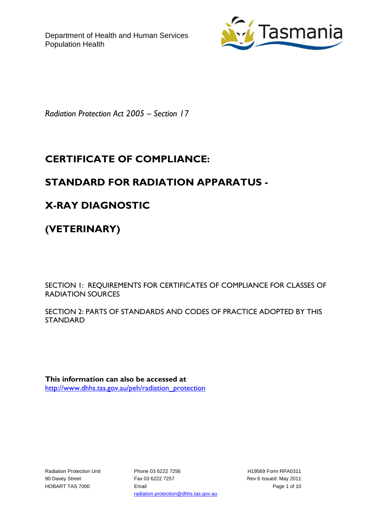

*Radiation Protection Act 2005 – Section 17*

# **CERTIFICATE OF COMPLIANCE:**

## **STANDARD FOR RADIATION APPARATUS -**

# **X-RAY DIAGNOSTIC**

**(VETERINARY)**

SECTION 1: REQUIREMENTS FOR CERTIFICATES OF COMPLIANCE FOR CLASSES OF RADIATION SOURCES

SECTION 2: PARTS OF STANDARDS AND CODES OF PRACTICE ADOPTED BY THIS **STANDARD** 

**This information can also be accessed at** [http://www.dhhs.tas.gov.au/peh/radiation\\_protection](http://www.dhhs.tas.gov.au/peh/radiation_protection)

Radiation Protection Unit 90 Davey Street HOBART TAS 7000

Phone 03 6222 7256 Fax 03 6222 7257 Email radiation.protection@dhhs.tas.gov.au

H19569 Form RPA0311 Rev 6 Issued: May 2011 Page 1 of 10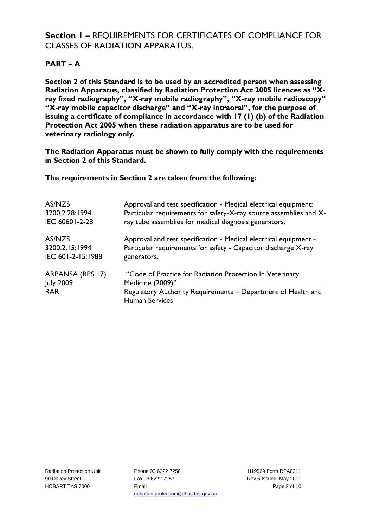## **Section 1 –** REQUIREMENTS FOR CERTIFICATES OF COMPLIANCE FOR CLASSES OF RADIATION APPARATUS.

## **PART – A**

**Section 2 of this Standard is to be used by an accredited person when assessing Radiation Apparatus, classified by Radiation Protection Act 2005 licences as "Xray fixed radiography", "X-ray mobile radiography", "X-ray mobile radioscopy" "X-ray mobile capacitor discharge" and "X-ray intraoral", for the purpose of issuing a certificate of compliance in accordance with 17 (1) (b) of the Radiation Protection Act 2005 when these radiation apparatus are to be used for veterinary radiology only.**

**The Radiation Apparatus must be shown to fully comply with the requirements in Section 2 of this Standard.**

**The requirements in Section 2 are taken from the following:**

| AS/NZS                                             | Approval and test specification - Medical electrical equipment:                                                                                                       |
|----------------------------------------------------|-----------------------------------------------------------------------------------------------------------------------------------------------------------------------|
| 3200.2.28:1994                                     | Particular requirements for safety-X-ray source assemblies and X-                                                                                                     |
| IEC 60601-2-28                                     | ray tube assemblies for medical diagnosis generators.                                                                                                                 |
| AS/NZS                                             | Approval and test specification - Medical electrical equipment -                                                                                                      |
| 3200.2.15:1994                                     | Particular requirements for safety - Capacitor discharge X-ray                                                                                                        |
| IEC 601-2-15:1988                                  | generators.                                                                                                                                                           |
| ARPANSA (RPS 17)<br><b>July 2009</b><br><b>RAR</b> | "Code of Practice for Radiation Protection In Veterinary<br>Medicine (2009)"<br>Regulatory Authority Requirements - Department of Health and<br><b>Human Services</b> |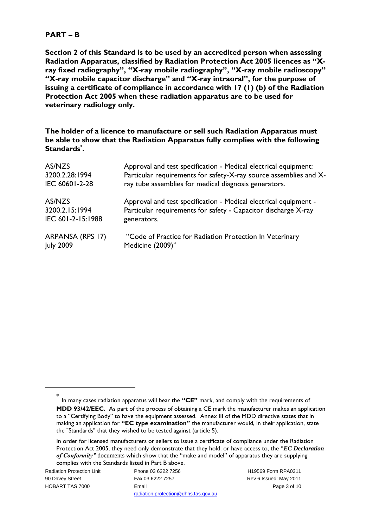### **PART – B**

**Section 2 of this Standard is to be used by an accredited person when assessing Radiation Apparatus, classified by Radiation Protection Act 2005 licences as "Xray fixed radiography", "X-ray mobile radiography", "X-ray mobile radioscopy" "X-ray mobile capacitor discharge" and "X-ray intraoral", for the purpose of issuing a certificate of compliance in accordance with 17 (1) (b) of the Radiation Protection Act 2005 when these radiation apparatus are to be used for veterinary radiology only.**

**The holder of a licence to manufacture or sell such Radiation Apparatus must be able to show that the Radiation Apparatus fully complies with the following Standards\* .**

| AS/NZS            | Approval and test specification - Medical electrical equipment:   |
|-------------------|-------------------------------------------------------------------|
| 3200.2.28:1994    | Particular requirements for safety-X-ray source assemblies and X- |
| IEC 60601-2-28    | ray tube assemblies for medical diagnosis generators.             |
| AS/NZS            | Approval and test specification - Medical electrical equipment -  |
| 3200.2.15:1994    | Particular requirements for safety - Capacitor discharge X-ray    |
| IEC 601-2-15:1988 | generators.                                                       |
| ARPANSA (RPS 17)  | "Code of Practice for Radiation Protection In Veterinary          |
| <b>July 2009</b>  | Medicine (2009)"                                                  |

Radiation Protection Unit 90 Davey Street HOBART TAS 7000

<u>.</u>

Phone 03 6222 7256 Fax 03 6222 7257 Email radiation.protection@dhhs.tas.gov.au

H19569 Form RPA0311 Rev 6 Issued: May 2011 Page 3 of 10

<sup>\*</sup> In many cases radiation apparatus will bear the **"CE"** mark, and comply with the requirements of **MDD 93/42/EEC.** As part of the process of obtaining a CE mark the manufacturer makes an application to a "Certifying Body" to have the equipment assessed. Annex III of the MDD directive states that in making an application for **"EC type examination"** the manufacturer would, in their application, state the "Standards" that they wished to be tested against (article 5).

In order for licensed manufacturers or sellers to issue a certificate of compliance under the Radiation Protection Act 2005, they need only demonstrate that they hold, or have access to, the "*EC Declaration of Conformity"* documents which show that the "make and model" of apparatus they are supplying complies with the Standards listed in Part B above.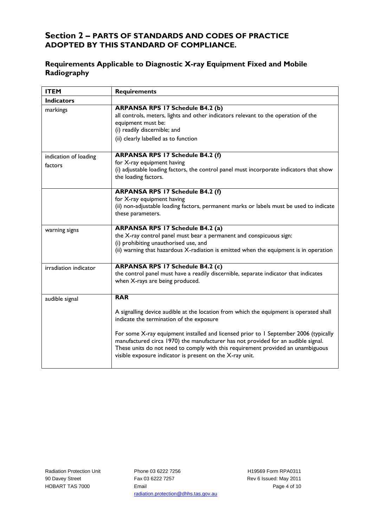### **Section 2 – PARTS OF STANDARDS AND CODES OF PRACTICE ADOPTED BY THIS STANDARD OF COMPLIANCE.**

### **Requirements Applicable to Diagnostic X-ray Equipment Fixed and Mobile Radiography**

| <b>ITEM</b>                      | <b>Requirements</b>                                                                                                                                                                                                                                                                                                                                                                                                                                            |
|----------------------------------|----------------------------------------------------------------------------------------------------------------------------------------------------------------------------------------------------------------------------------------------------------------------------------------------------------------------------------------------------------------------------------------------------------------------------------------------------------------|
| <b>Indicators</b>                |                                                                                                                                                                                                                                                                                                                                                                                                                                                                |
| markings                         | <b>ARPANSA RPS 17 Schedule B4.2 (b)</b><br>all controls, meters, lights and other indicators relevant to the operation of the<br>equipment must be:<br>(i) readily discernible; and<br>(ii) clearly labelled as to function                                                                                                                                                                                                                                    |
| indication of loading<br>factors | <b>ARPANSA RPS 17 Schedule B4.2 (f)</b><br>for X-ray equipment having<br>(i) adjustable loading factors, the control panel must incorporate indicators that show<br>the loading factors.                                                                                                                                                                                                                                                                       |
|                                  | <b>ARPANSA RPS 17 Schedule B4.2 (f)</b><br>for X-ray equipment having<br>(ii) non-adjustable loading factors, permanent marks or labels must be used to indicate<br>these parameters.                                                                                                                                                                                                                                                                          |
| warning signs                    | <b>ARPANSA RPS 17 Schedule B4.2 (a)</b><br>the X-ray control panel must bear a permanent and conspicuous sign:<br>(i) prohibiting unauthorised use, and<br>(ii) warning that hazardous X-radiation is emitted when the equipment is in operation                                                                                                                                                                                                               |
| irradiation indicator            | <b>ARPANSA RPS 17 Schedule B4.2 (c)</b><br>the control panel must have a readily discernible, separate indicator that indicates<br>when X-rays are being produced.                                                                                                                                                                                                                                                                                             |
| audible signal                   | <b>RAR</b>                                                                                                                                                                                                                                                                                                                                                                                                                                                     |
|                                  | A signalling device audible at the location from which the equipment is operated shall<br>indicate the termination of the exposure<br>For some X-ray equipment installed and licensed prior to 1 September 2006 (typically<br>manufactured circa 1970) the manufacturer has not provided for an audible signal.<br>These units do not need to comply with this requirement provided an unambiguous<br>visible exposure indicator is present on the X-ray unit. |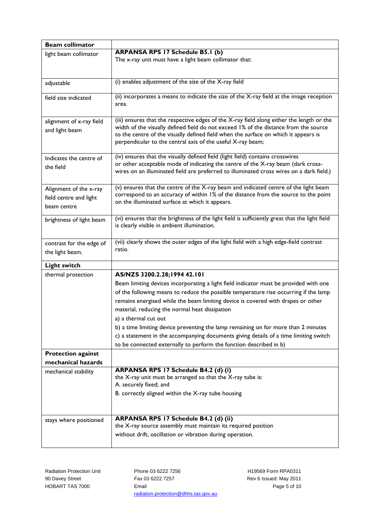| <b>Beam collimator</b>    |                                                                                                                                                                             |
|---------------------------|-----------------------------------------------------------------------------------------------------------------------------------------------------------------------------|
| light beam collimator     | <b>ARPANSA RPS 17 Schedule B5.1 (b)</b>                                                                                                                                     |
|                           | The x-ray unit must have a light beam collimator that:                                                                                                                      |
|                           |                                                                                                                                                                             |
|                           | (i) enables adjustment of the size of the X-ray field                                                                                                                       |
| adjustable                |                                                                                                                                                                             |
| field size indicated      | (ii) incorporates a means to indicate the size of the X-ray field at the image reception                                                                                    |
|                           | area.                                                                                                                                                                       |
|                           |                                                                                                                                                                             |
| alignment of x-ray field  | (iii) ensures that the respective edges of the X-ray field along either the length or the                                                                                   |
| and light beam            | width of the visually defined field do not exceed 1% of the distance from the source<br>to the centre of the visually defined field when the surface on which it appears is |
|                           | perpendicular to the central axis of the useful X-ray beam;                                                                                                                 |
|                           |                                                                                                                                                                             |
| Indicates the centre of   | (iv) ensures that the visually defined field (light field) contains crosswires                                                                                              |
| the field                 | or other acceptable mode of indicating the centre of the X-ray beam (dark cross-                                                                                            |
|                           | wires on an illuminated field are preferred to illuminated cross wires on a dark field.)                                                                                    |
|                           | (v) ensures that the centre of the X-ray beam and indicated centre of the light beam                                                                                        |
| Alignment of the x-ray    | correspond to an accuracy of within 1% of the distance from the source to the point                                                                                         |
| field centre and light    | on the illuminated surface at which it appears.                                                                                                                             |
| beam centre               |                                                                                                                                                                             |
| brightness of light beam  | (vi) ensures that the brightness of the light field is sufficiently great that the light field                                                                              |
|                           | is clearly visible in ambient illumination.                                                                                                                                 |
|                           |                                                                                                                                                                             |
| contrast for the edge of  | (vii) clearly shows the outer edges of the light field with a high edge-field contrast                                                                                      |
| the light beam.           | ratio.                                                                                                                                                                      |
| <b>Light switch</b>       |                                                                                                                                                                             |
| thermal protection        | AS/NZS 3200.2.28;1994 42.101                                                                                                                                                |
|                           | Beam limiting devices incorporating a light field indicator must be provided with one                                                                                       |
|                           | of the following means to reduce the possible temperature rise occurring if the lamp                                                                                        |
|                           | remains energised while the beam limiting device is covered with drapes or other                                                                                            |
|                           | material, reducing the normal heat dissipation                                                                                                                              |
|                           | a) a thermal cut out                                                                                                                                                        |
|                           | b) a time limiting device preventing the lamp remaining on for more than 2 minutes                                                                                          |
|                           | c) a statement in the accompanying documents giving details of a time limiting switch                                                                                       |
|                           | to be connected externally to perform the function described in b)                                                                                                          |
| <b>Protection against</b> |                                                                                                                                                                             |
| mechanical hazards        |                                                                                                                                                                             |
| mechanical stability      | ARPANSA RPS 17 Schedule B4.2 (d) (i)                                                                                                                                        |
|                           | the X-ray unit must be arranged so that the X-ray tube is:                                                                                                                  |
|                           | A. securely fixed; and                                                                                                                                                      |
|                           | B. correctly aligned within the X-ray tube housing                                                                                                                          |
|                           |                                                                                                                                                                             |
|                           |                                                                                                                                                                             |
| stays where positioned    | ARPANSA RPS 17 Schedule B4.2 (d) (ii)                                                                                                                                       |
|                           | the X-ray source assembly must maintain its required position                                                                                                               |
|                           | without drift, oscillation or vibration during operation.                                                                                                                   |
|                           |                                                                                                                                                                             |

Radiation Protection Unit 90 Davey Street HOBART TAS 7000

Phone 03 6222 7256 Fax 03 6222 7257 Email radiation.protection@dhhs.tas.gov.au

H19569 Form RPA0311 Rev 6 Issued: May 2011 Page 5 of 10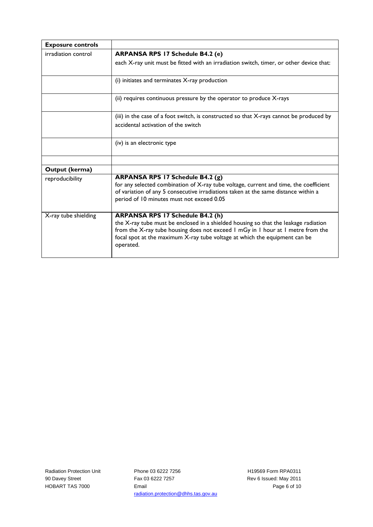| <b>Exposure controls</b> |                                                                                                                                                                                                                                                                                                              |
|--------------------------|--------------------------------------------------------------------------------------------------------------------------------------------------------------------------------------------------------------------------------------------------------------------------------------------------------------|
| irradiation control      | <b>ARPANSA RPS 17 Schedule B4.2 (e)</b>                                                                                                                                                                                                                                                                      |
|                          | each X-ray unit must be fitted with an irradiation switch, timer, or other device that:                                                                                                                                                                                                                      |
|                          | (i) initiates and terminates X-ray production                                                                                                                                                                                                                                                                |
|                          | (ii) requires continuous pressure by the operator to produce X-rays                                                                                                                                                                                                                                          |
|                          | (iii) in the case of a foot switch, is constructed so that X-rays cannot be produced by<br>accidental activation of the switch                                                                                                                                                                               |
|                          | (iv) is an electronic type                                                                                                                                                                                                                                                                                   |
|                          |                                                                                                                                                                                                                                                                                                              |
| Output (kerma)           |                                                                                                                                                                                                                                                                                                              |
| reproducibility          | ARPANSA RPS 17 Schedule B4.2 (g)<br>for any selected combination of X-ray tube voltage, current and time, the coefficient<br>of variation of any 5 consecutive irradiations taken at the same distance within a<br>period of 10 minutes must not exceed 0.05                                                 |
| X-ray tube shielding     | <b>ARPANSA RPS 17 Schedule B4.2 (h)</b><br>the X-ray tube must be enclosed in a shielded housing so that the leakage radiation<br>from the X-ray tube housing does not exceed I mGy in I hour at I metre from the<br>focal spot at the maximum X-ray tube voltage at which the equipment can be<br>operated. |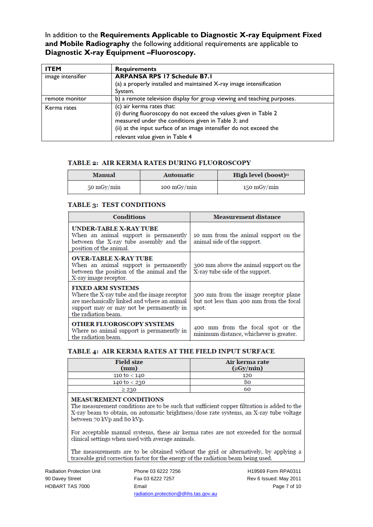In addition to the **Requirements Applicable to Diagnostic X-ray Equipment Fixed and Mobile Radiography** the following additional requirements are applicable to **Diagnostic X-ray Equipment –Fluoroscopy.**

| <b>ITEM</b>       | <b>Requirements</b>                                                                                                                                                                                                         |
|-------------------|-----------------------------------------------------------------------------------------------------------------------------------------------------------------------------------------------------------------------------|
| image intensifier | <b>ARPANSA RPS 17 Schedule B7.1</b><br>(a) a properly installed and maintained $X$ -ray image intensification                                                                                                               |
|                   | System.                                                                                                                                                                                                                     |
| remote monitor    | b) a remote television display for group viewing and teaching purposes.                                                                                                                                                     |
| Kerma rates       | (c) air kerma rates that:<br>(i) during fluoroscopy do not exceed the values given in Table 2<br>measured under the conditions given in Table 3; and<br>(ii) at the input surface of an image intensifier do not exceed the |
|                   | relevant value given in Table 4                                                                                                                                                                                             |

#### **TABLE 2: AIR KERMA RATES DURING FLUOROSCOPY**

| <b>Manual</b> | <b>Automatic</b>                    | High level (boost)" |
|---------------|-------------------------------------|---------------------|
| 50 mGy/min    | $100 \frac{\text{mGy}}{\text{min}}$ | 150 mGy/min         |

#### **TABLE 3: TEST CONDITIONS**

| <b>Conditions</b>                                                                                                                                                                         | <b>Measurement distance</b>                                                              |
|-------------------------------------------------------------------------------------------------------------------------------------------------------------------------------------------|------------------------------------------------------------------------------------------|
| <b>UNDER-TABLE X-RAY TUBE</b><br>When an animal support is permanently<br>between the X-ray tube assembly and the<br>position of the animal.                                              | 10 mm from the animal support on the<br>animal side of the support.                      |
| <b>OVER-TABLE X-RAY TUBE</b><br>When an animal support is permanently<br>between the position of the animal and the<br>X-ray image receptor.                                              | 300 mm above the animal support on the<br>X-ray tube side of the support.                |
| <b>FIXED ARM SYSTEMS</b><br>Where the X-ray tube and the image receptor<br>are mechanically linked and where an animal<br>support may or may not be permanently in<br>the radiation beam. | 300 mm from the image receptor plane<br>but not less than 400 mm from the focal<br>spot. |
| <b>OTHER FLUOROSCOPY SYSTEMS</b><br>Where no animal support is permanently in<br>the radiation beam.                                                                                      | 400 mm from the focal spot or the<br>minimum distance, whichever is greater.             |

#### TABLE 4: AIR KERMA RATES AT THE FIELD INPUT SURFACE

| <b>Field size</b><br>(mm) | Air kerma rate<br>$(\mu Gy/min)$ |
|---------------------------|----------------------------------|
| 110 to $< 140$            | 120                              |
| 140 to $<$ 230            | 80                               |
| > 230                     | 60                               |

#### **MEASUREMENT CONDITIONS**

The measurement conditions are to be such that sufficient copper filtration is added to the X-ray beam to obtain, on automatic brightness/dose rate systems, an X-ray tube voltage between 70 kVp and 80 kVp.

For acceptable manual systems, these air kerma rates are not exceeded for the normal clinical settings when used with average animals.

The measurements are to be obtained without the grid or alternatively, by applying a traceable grid correction factor for the energy of the radiation beam being used.

Radiation Protection Unit 90 Davey Street HOBART TAS 7000

Phone 03 6222 7256 Fax 03 6222 7257 Email radiation.protection@dhhs.tas.gov.au

H19569 Form RPA0311 Rev 6 Issued: May 2011 Page 7 of 10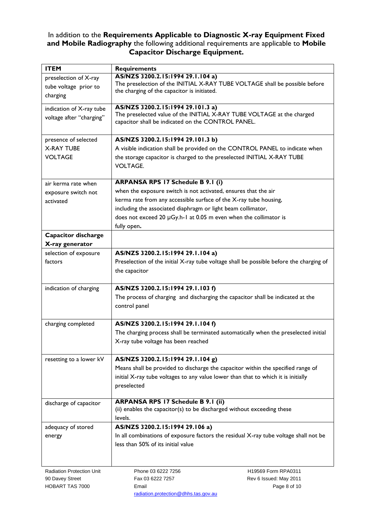### In addition to the **Requirements Applicable to Diagnostic X-ray Equipment Fixed and Mobile Radiography** the following additional requirements are applicable to **Mobile Capacitor Discharge Equipment.**

| <b>ITEM</b>                                                 | <b>Requirements</b>                                                                                                                                                                                                                                                                                                                 |
|-------------------------------------------------------------|-------------------------------------------------------------------------------------------------------------------------------------------------------------------------------------------------------------------------------------------------------------------------------------------------------------------------------------|
| preselection of X-ray<br>tube voltage prior to<br>charging  | AS/NZS 3200.2.15:1994 29.1.104 a)<br>The preselection of the INITIAL X-RAY TUBE VOLTAGE shall be possible before<br>the charging of the capacitor is initiated.                                                                                                                                                                     |
| indication of X-ray tube<br>voltage after "charging"        | AS/NZS 3200.2.15:1994 29.101.3 a)<br>The preselected value of the INITIAL X-RAY TUBE VOLTAGE at the charged<br>capacitor shall be indicated on the CONTROL PANEL.                                                                                                                                                                   |
| presence of selected<br><b>X-RAY TUBE</b><br><b>VOLTAGE</b> | AS/NZS 3200.2.15:1994 29.101.3 b)<br>A visible indication shall be provided on the CONTROL PANEL to indicate when<br>the storage capacitor is charged to the preselected INITIAL X-RAY TUBE<br><b>VOLTAGE.</b>                                                                                                                      |
| air kerma rate when<br>exposure switch not<br>activated     | <b>ARPANSA RPS 17 Schedule B 9.1 (i)</b><br>when the exposure switch is not activated, ensures that the air<br>kerma rate from any accessible surface of the X-ray tube housing,<br>including the associated diaphragm or light beam collimator,<br>does not exceed 20 µGy.h-1 at 0.05 m even when the collimator is<br>fully open. |
| <b>Capacitor discharge</b><br>X-ray generator               |                                                                                                                                                                                                                                                                                                                                     |
| selection of exposure<br>factors                            | AS/NZS 3200.2.15:1994 29.1.104 a)<br>Preselection of the initial X-ray tube voltage shall be possible before the charging of<br>the capacitor                                                                                                                                                                                       |
| indication of charging                                      | AS/NZS 3200.2.15:1994 29.1.103 f)<br>The process of charging and discharging the capacitor shall be indicated at the<br>control panel                                                                                                                                                                                               |
| charging completed                                          | AS/NZS 3200.2.15:1994 29.1.104 f)<br>The charging process shall be terminated automatically when the preselected initial<br>X-ray tube voltage has been reached                                                                                                                                                                     |
| resetting to a lower kV                                     | AS/NZS 3200.2.15:1994 29.1.104 g)<br>Means shall be provided to discharge the capacitor within the specified range of<br>initial X-ray tube voltages to any value lower than that to which it is initially<br>preselected                                                                                                           |
| discharge of capacitor                                      | <b>ARPANSA RPS 17 Schedule B 9.1 (ii)</b><br>(ii) enables the capacitor(s) to be discharged without exceeding these<br>levels.                                                                                                                                                                                                      |
| adequacy of stored<br>energy                                | AS/NZS 3200.2.15:1994 29.106 a)<br>In all combinations of exposure factors the residual X-ray tube voltage shall not be<br>less than 50% of its initial value                                                                                                                                                                       |
| Radiation Protection Unit                                   | Phone 03 6222 7256<br>H19569 Form RPA0311                                                                                                                                                                                                                                                                                           |

90 Davey Street HOBART TAS 7000

Fax 03 6222 7257 Email radiation.protection@dhhs.tas.gov.au Rev 6 Issued: May 2011 Page 8 of 10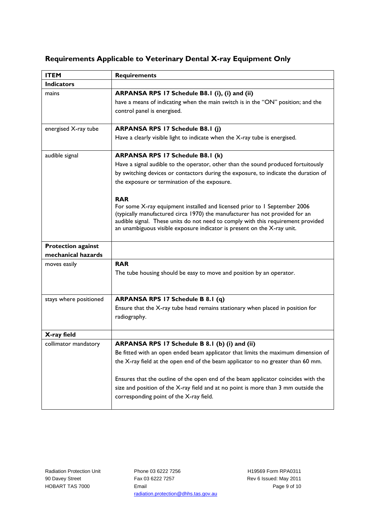## **Requirements Applicable to Veterinary Dental X-ray Equipment Only**

| <b>ITEM</b>                                     | <b>Requirements</b>                                                                                                                                                                                                                                                                                                                                                                                                                                                                                                                                                                                           |
|-------------------------------------------------|---------------------------------------------------------------------------------------------------------------------------------------------------------------------------------------------------------------------------------------------------------------------------------------------------------------------------------------------------------------------------------------------------------------------------------------------------------------------------------------------------------------------------------------------------------------------------------------------------------------|
| <b>Indicators</b>                               |                                                                                                                                                                                                                                                                                                                                                                                                                                                                                                                                                                                                               |
| mains                                           | ARPANSA RPS 17 Schedule B8.1 (i), (i) and (ii)<br>have a means of indicating when the main switch is in the "ON" position; and the<br>control panel is energised.                                                                                                                                                                                                                                                                                                                                                                                                                                             |
| energised X-ray tube                            | <b>ARPANSA RPS 17 Schedule B8.1 (j)</b><br>Have a clearly visible light to indicate when the X-ray tube is energised.                                                                                                                                                                                                                                                                                                                                                                                                                                                                                         |
| audible signal                                  | <b>ARPANSA RPS 17 Schedule B8.1 (k)</b><br>Have a signal audible to the operator, other than the sound produced fortuitously<br>by switching devices or contactors during the exposure, to indicate the duration of<br>the exposure or termination of the exposure.<br><b>RAR</b><br>For some X-ray equipment installed and licensed prior to 1 September 2006<br>(typically manufactured circa 1970) the manufacturer has not provided for an<br>audible signal. These units do not need to comply with this requirement provided<br>an unambiguous visible exposure indicator is present on the X-ray unit. |
| <b>Protection against</b><br>mechanical hazards |                                                                                                                                                                                                                                                                                                                                                                                                                                                                                                                                                                                                               |
| moves easily                                    | <b>RAR</b><br>The tube housing should be easy to move and position by an operator.                                                                                                                                                                                                                                                                                                                                                                                                                                                                                                                            |
| stays where positioned                          | ARPANSA RPS 17 Schedule B 8.1 (q)<br>Ensure that the X-ray tube head remains stationary when placed in position for<br>radiography.                                                                                                                                                                                                                                                                                                                                                                                                                                                                           |
| X-ray field                                     |                                                                                                                                                                                                                                                                                                                                                                                                                                                                                                                                                                                                               |
| collimator mandatory                            | ARPANSA RPS 17 Schedule B 8.1 (b) (i) and (ii)<br>Be fitted with an open ended beam applicator that limits the maximum dimension of<br>the X-ray field at the open end of the beam applicator to no greater than 60 mm.<br>Ensures that the outline of the open end of the beam applicator coincides with the<br>size and position of the X-ray field and at no point is more than 3 mm outside the<br>corresponding point of the X-ray field.                                                                                                                                                                |

Radiation Protection Unit 90 Davey Street HOBART TAS 7000

Phone 03 6222 7256 Fax 03 6222 7257 Email radiation.protection@dhhs.tas.gov.au

H19569 Form RPA0311 Rev 6 Issued: May 2011 Page 9 of 10